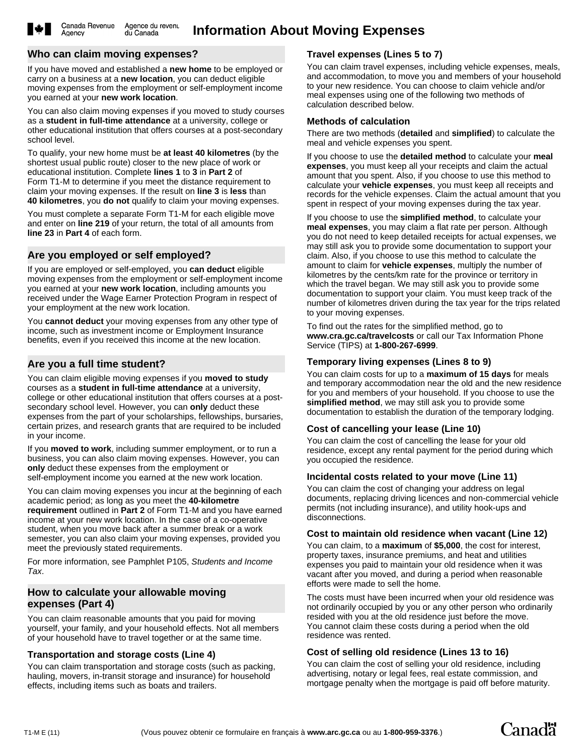Agency

#### **Who can claim moving expenses?**

If you have moved and established a **new home** to be employed or carry on a business at a **new location**, you can deduct eligible moving expenses from the employment or self-employment income you earned at your **new work location**.

You can also claim moving expenses if you moved to study courses as a **student in full-time attendance** at a university, college or other educational institution that offers courses at a post-secondary school level.

To qualify, your new home must be **at least 40 kilometres** (by the shortest usual public route) closer to the new place of work or educational institution. Complete **lines 1** to **3** in **Part 2** of Form T1-M to determine if you meet the distance requirement to claim your moving expenses. If the result on **line 3** is **less** than **40 kilometres**, you **do not** qualify to claim your moving expenses.

You must complete a separate Form T1-M for each eligible move and enter on **line 219** of your return, the total of all amounts from **line 23** in **Part 4** of each form.

## **Are you employed or self employed?**

If you are employed or self-employed, you **can deduct** eligible moving expenses from the employment or self-employment income you earned at your **new work location**, including amounts you received under the Wage Earner Protection Program in respect of your employment at the new work location.

You **cannot deduct** your moving expenses from any other type of income, such as investment income or Employment Insurance benefits, even if you received this income at the new location.

## **Are you a full time student?**

You can claim eligible moving expenses if you **moved to study** courses as a **student in full-time attendance** at a university, college or other educational institution that offers courses at a postsecondary school level. However, you can **only** deduct these expenses from the part of your scholarships, fellowships, bursaries, certain prizes, and research grants that are required to be included in your income.

If you **moved to work**, including summer employment, or to run a business, you can also claim moving expenses. However, you can **only** deduct these expenses from the employment or self-employment income you earned at the new work location.

You can claim moving expenses you incur at the beginning of each academic period; as long as you meet the **40-kilometre requirement** outlined in **Part 2** of Form T1-M and you have earned income at your new work location. In the case of a co-operative student, when you move back after a summer break or a work semester, you can also claim your moving expenses, provided you

meet the previously stated requirements. For more information, see Pamphlet P105, *Students and Income Tax*.

## **How to calculate your allowable moving expenses (Part 4)**

You can claim reasonable amounts that you paid for moving yourself, your family, and your household effects. Not all members of your household have to travel together or at the same time.

## **Transportation and storage costs (Line 4)**

You can claim transportation and storage costs (such as packing, hauling, movers, in-transit storage and insurance) for household effects, including items such as boats and trailers.

## **Travel expenses (Lines 5 to 7)**

You can claim travel expenses, including vehicle expenses, meals, and accommodation, to move you and members of your household to your new residence. You can choose to claim vehicle and/or meal expenses using one of the following two methods of calculation described below.

## **Methods of calculation**

There are two methods (**detailed** and **simplified**) to calculate the meal and vehicle expenses you spent.

If you choose to use the **detailed method** to calculate your **meal expenses**, you must keep all your receipts and claim the actual amount that you spent. Also, if you choose to use this method to calculate your **vehicle expenses**, you must keep all receipts and records for the vehicle expenses. Claim the actual amount that you spent in respect of your moving expenses during the tax year.

If you choose to use the **simplified method**, to calculate your **meal expenses**, you may claim a flat rate per person. Although you do not need to keep detailed receipts for actual expenses, we may still ask you to provide some documentation to support your claim. Also, if you choose to use this method to calculate the amount to claim for **vehicle expenses**, multiply the number of kilometres by the cents/km rate for the province or territory in which the travel began. We may still ask you to provide some documentation to support your claim. You must keep track of the number of kilometres driven during the tax year for the trips related to your moving expenses.

To find out the rates for the simplified method, go to **www.cra.gc.ca/travelcosts** or call our Tax Information Phone Service (TIPS) at **1-800-267-6999**.

## **Temporary living expenses (Lines 8 to 9)**

You can claim costs for up to a **maximum of 15 days** for meals and temporary accommodation near the old and the new residence for you and members of your household. If you choose to use the **simplified method**, we may still ask you to provide some documentation to establish the duration of the temporary lodging.

## **Cost of cancelling your lease (Line 10)**

You can claim the cost of cancelling the lease for your old residence, except any rental payment for the period during which you occupied the residence.

## **Incidental costs related to your move (Line 11)**

You can claim the cost of changing your address on legal documents, replacing driving licences and non-commercial vehicle permits (not including insurance), and utility hook-ups and disconnections.

## **Cost to maintain old residence when vacant (Line 12)**

You can claim, to a **maximum** of **\$5,000**, the cost for interest, property taxes, insurance premiums, and heat and utilities expenses you paid to maintain your old residence when it was vacant after you moved, and during a period when reasonable efforts were made to sell the home.

The costs must have been incurred when your old residence was not ordinarily occupied by you or any other person who ordinarily resided with you at the old residence just before the move. You cannot claim these costs during a period when the old residence was rented.

## **Cost of selling old residence (Lines 13 to 16)**

You can claim the cost of selling your old residence, including advertising, notary or legal fees, real estate commission, and mortgage penalty when the mortgage is paid off before maturity.

**Canadä**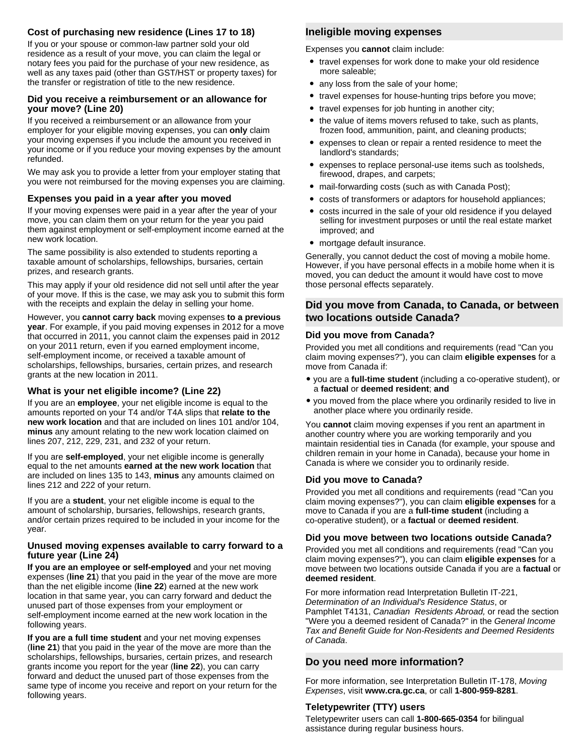### **Cost of purchasing new residence (Lines 17 to 18)**

If you or your spouse or common-law partner sold your old residence as a result of your move, you can claim the legal or notary fees you paid for the purchase of your new residence, as well as any taxes paid (other than GST/HST or property taxes) for the transfer or registration of title to the new residence.

#### **Did you receive a reimbursement or an allowance for your move? (Line 20)**

If you received a reimbursement or an allowance from your employer for your eligible moving expenses, you can **only** claim your moving expenses if you include the amount you received in your income or if you reduce your moving expenses by the amount refunded.

We may ask you to provide a letter from your employer stating that you were not reimbursed for the moving expenses you are claiming.

#### **Expenses you paid in a year after you moved**

If your moving expenses were paid in a year after the year of your move, you can claim them on your return for the year you paid them against employment or self-employment income earned at the new work location.

The same possibility is also extended to students reporting a taxable amount of scholarships, fellowships, bursaries, certain prizes, and research grants.

This may apply if your old residence did not sell until after the year of your move. If this is the case, we may ask you to submit this form with the receipts and explain the delay in selling your home.

However, you **cannot carry back** moving expenses **to a previous year**. For example, if you paid moving expenses in 2012 for a move that occurred in 2011, you cannot claim the expenses paid in 2012 on your 2011 return, even if you earned employment income, self-employment income, or received a taxable amount of scholarships, fellowships, bursaries, certain prizes, and research grants at the new location in 2011.

#### **What is your net eligible income? (Line 22)**

If you are an **employee**, your net eligible income is equal to the amounts reported on your T4 and/or T4A slips that **relate to the new work location** and that are included on lines 101 and/or 104, **minus** any amount relating to the new work location claimed on lines 207, 212, 229, 231, and 232 of your return.

If you are **self-employed**, your net eligible income is generally equal to the net amounts **earned at the new work location** that are included on lines 135 to 143, **minus** any amounts claimed on lines 212 and 222 of your return.

If you are a **student**, your net eligible income is equal to the amount of scholarship, bursaries, fellowships, research grants, and/or certain prizes required to be included in your income for the year.

#### **Unused moving expenses available to carry forward to a future year (Line 24)**

**If you are an employee or self-employed** and your net moving expenses (**line 21**) that you paid in the year of the move are more than the net eligible income (**line 22**) earned at the new work location in that same year, you can carry forward and deduct the unused part of those expenses from your employment or self-employment income earned at the new work location in the following years.

**If you are a full time student** and your net moving expenses (**line 21**) that you paid in the year of the move are more than the scholarships, fellowships, bursaries, certain prizes, and research grants income you report for the year (**line 22**), you can carry forward and deduct the unused part of those expenses from the same type of income you receive and report on your return for the following years.

### **Ineligible moving expenses**

Expenses you **cannot** claim include:

- travel expenses for work done to make your old residence more saleable;
- any loss from the sale of your home;
- $\bullet$ travel expenses for house-hunting trips before you move;
- travel expenses for job hunting in another city;
- $\bullet$  the value of items movers refused to take, such as plants, frozen food, ammunition, paint, and cleaning products;
- $\bullet$  expenses to clean or repair a rented residence to meet the landlord's standards;
- $\bullet$  expenses to replace personal-use items such as toolsheds, firewood, drapes, and carpets;
- $\bullet$ mail-forwarding costs (such as with Canada Post);
- $\bullet$ costs of transformers or adaptors for household appliances;
- $\bullet$  costs incurred in the sale of your old residence if you delayed selling for investment purposes or until the real estate market improved; and
- mortgage default insurance.

Generally, you cannot deduct the cost of moving a mobile home. However, if you have personal effects in a mobile home when it is moved, you can deduct the amount it would have cost to move those personal effects separately.

### **Did you move from Canada, to Canada, or between two locations outside Canada?**

#### **Did you move from Canada?**

Provided you met all conditions and requirements (read "Can you claim moving expenses?"), you can claim **eligible expenses** for a move from Canada if:

- you are a **full-time student** (including a co-operative student), or a **factual** or **deemed resident**; **and**
- you moved from the place where you ordinarily resided to live in another place where you ordinarily reside.

You **cannot** claim moving expenses if you rent an apartment in another country where you are working temporarily and you maintain residential ties in Canada (for example, your spouse and children remain in your home in Canada), because your home in Canada is where we consider you to ordinarily reside.

#### **Did you move to Canada?**

Provided you met all conditions and requirements (read "Can you claim moving expenses?"), you can claim **eligible expenses** for a move to Canada if you are a **full-time student** (including a co-operative student), or a **factual** or **deemed resident**.

#### **Did you move between two locations outside Canada?**

Provided you met all conditions and requirements (read "Can you claim moving expenses?"), you can claim **eligible expenses** for a move between two locations outside Canada if you are a **factual** or **deemed resident**.

For more information read Interpretation Bulletin IT-221, *Determination of an Individual's Residence Status*, or Pamphlet T4131, *Canadian Residents Abroad,* or read the section "Were you a deemed resident of Canada?" in the *General Income Tax and Benefit Guide for Non-Residents and Deemed Residents of Canada*.

### **Do you need more information?**

For more information, see Interpretation Bulletin IT-178, *Moving Expenses*, visit **www.cra.gc.ca**, or call **1-800-959-8281**.

#### **Teletypewriter (TTY) users**

Teletypewriter users can call **1-800-665-0354** for bilingual assistance during regular business hours.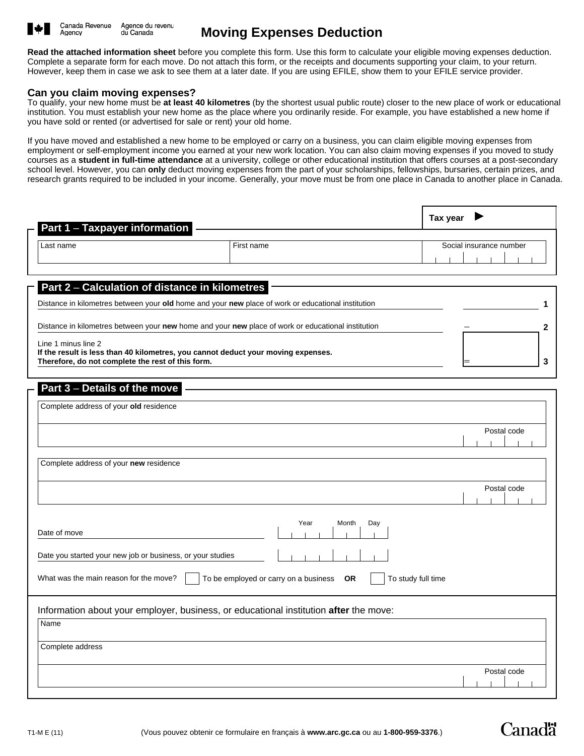

# **Moving Expenses Deduction**

**Read the attached information sheet** before you complete this form. Use this form to calculate your eligible moving expenses deduction. Complete a separate form for each move. Do not attach this form, or the receipts and documents supporting your claim, to your return. However, keep them in case we ask to see them at a later date. If you are using EFILE, show them to your EFILE service provider.

#### **Can you claim moving expenses?**

To qualify, your new home must be **at least 40 kilometres** (by the shortest usual public route) closer to the new place of work or educational institution. You must establish your new home as the place where you ordinarily reside. For example, you have established a new home if you have sold or rented (or advertised for sale or rent) your old home.

If you have moved and established a new home to be employed or carry on a business, you can claim eligible moving expenses from employment or self-employment income you earned at your new work location. You can also claim moving expenses if you moved to study courses as a **student in full-time attendance** at a university, college or other educational institution that offers courses at a post-secondary school level. However, you can **only** deduct moving expenses from the part of your scholarships, fellowships, bursaries, certain prizes, and research grants required to be included in your income. Generally, your move must be from one place in Canada to another place in Canada.

| Part 1 - Taxpayer information                                                                                                                                                                                                                                                                                                                                                                                               |                                                                                       | Tax year                |
|-----------------------------------------------------------------------------------------------------------------------------------------------------------------------------------------------------------------------------------------------------------------------------------------------------------------------------------------------------------------------------------------------------------------------------|---------------------------------------------------------------------------------------|-------------------------|
| Last name                                                                                                                                                                                                                                                                                                                                                                                                                   | First name                                                                            | Social insurance number |
| Part 2 - Calculation of distance in kilometres<br>Distance in kilometres between your old home and your new place of work or educational institution<br>Distance in kilometres between your new home and your new place of work or educational institution<br>Line 1 minus line 2<br>If the result is less than 40 kilometres, you cannot deduct your moving expenses.<br>Therefore, do not complete the rest of this form. |                                                                                       | 2<br>3                  |
| Part 3 - Details of the move<br>Complete address of your old residence<br>Complete address of your new residence                                                                                                                                                                                                                                                                                                            |                                                                                       | Postal code             |
| Date of move<br>Date you started your new job or business, or your studies                                                                                                                                                                                                                                                                                                                                                  | Year<br>Month<br>Day                                                                  | Postal code             |
| What was the main reason for the move?                                                                                                                                                                                                                                                                                                                                                                                      | To be employed or carry on a business<br><b>OR</b><br>To study full time              |                         |
| Name<br>Complete address                                                                                                                                                                                                                                                                                                                                                                                                    | Information about your employer, business, or educational institution after the move: | Postal code             |
|                                                                                                                                                                                                                                                                                                                                                                                                                             |                                                                                       |                         |

**Canadä**